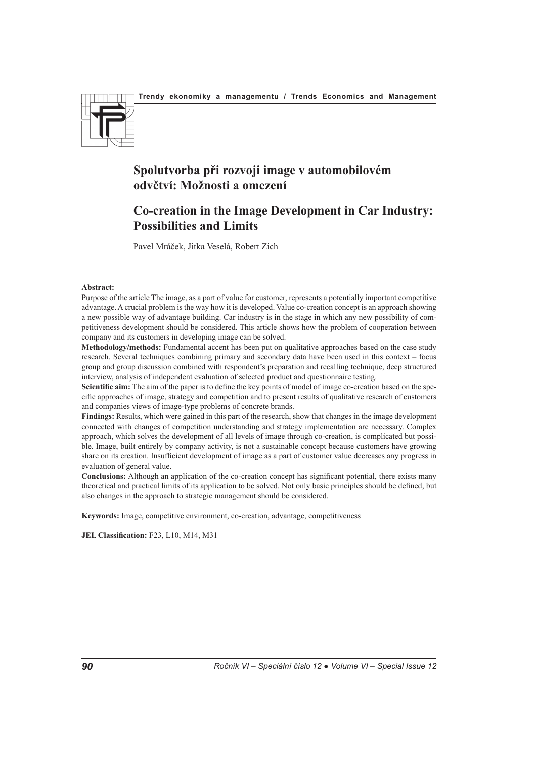

# **Spolutvorba při rozvoji image v automobilovém odvětví: Možnosti a omezení**

# **Co-creation in the Image Development in Car Industry: Possibilities and Limits**

Pavel Mráček, Jitka Veselá, Robert Zich

## **Abstract:**

Purpose of the article The image, as a part of value for customer, represents a potentially important competitive advantage. A crucial problem is the way how it is developed. Value co-creation concept is an approach showing a new possible way of advantage building. Car industry is in the stage in which any new possibility of competitiveness development should be considered. This article shows how the problem of cooperation between company and its customers in developing image can be solved.

**Methodology/methods:** Fundamental accent has been put on qualitative approaches based on the case study research. Several techniques combining primary and secondary data have been used in this context – focus group and group discussion combined with respondent's preparation and recalling technique, deep structured interview, analysis of independent evaluation of selected product and questionnaire testing.

**Scientific aim:** The aim of the paper is to define the key points of model of image co-creation based on the specific approaches of image, strategy and competition and to present results of qualitative research of customers and companies views of image-type problems of concrete brands.

**Findings:** Results, which were gained in this part of the research, show that changes in the image development connected with changes of competition understanding and strategy implementation are necessary. Complex approach, which solves the development of all levels of image through co-creation, is complicated but possible. Image, built entirely by company activity, is not a sustainable concept because customers have growing share on its creation. Insufficient development of image as a part of customer value decreases any progress in evaluation of general value.

**Conclusions:** Although an application of the co-creation concept has significant potential, there exists many theoretical and practical limits of its application to be solved. Not only basic principles should be defined, but also changes in the approach to strategic management should be considered.

**Keywords:** Image, competitive environment, co-creation, advantage, competitiveness

**JEL Classification:** F23, L10, M14, M31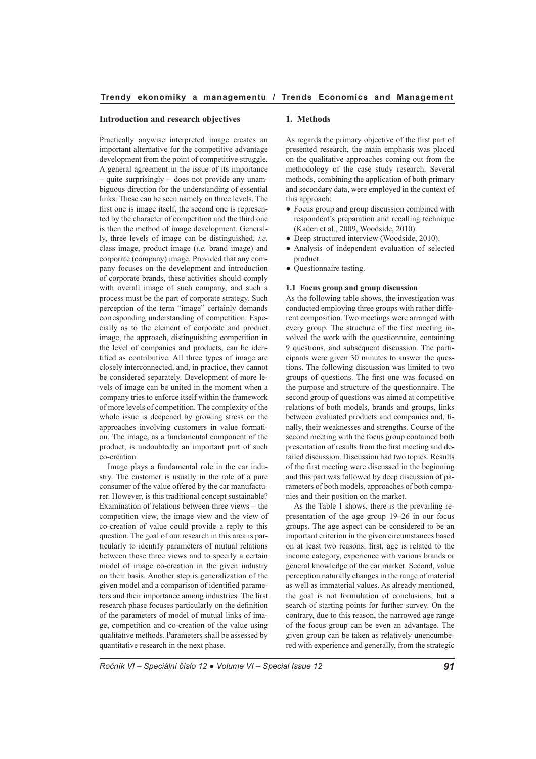### **Introduction and research objectives**

Practically anywise interpreted image creates an important alternative for the competitive advantage development from the point of competitive struggle. A general agreement in the issue of its importance – quite surprisingly – does not provide any unambiguous direction for the understanding of essential links. These can be seen namely on three levels. The first one is image itself, the second one is represented by the character of competition and the third one is then the method of image development. Generally, three levels of image can be distinguished, *i.e.* class image, product image (*i.e.* brand image) and corporate (company) image. Provided that any company focuses on the development and introduction of corporate brands, these activities should comply with overall image of such company, and such a process must be the part of corporate strategy. Such perception of the term "image" certainly demands corresponding understanding of competition. Especially as to the element of corporate and product image, the approach, distinguishing competition in the level of companies and products, can be identified as contributive. All three types of image are closely interconnected, and, in practice, they cannot be considered separately. Development of more levels of image can be united in the moment when a company tries to enforce itself within the framework of more levels of competition. The complexity of the whole issue is deepened by growing stress on the approaches involving customers in value formation. The image, as a fundamental component of the product, is undoubtedly an important part of such co-creation.

Image plays a fundamental role in the car industry. The customer is usually in the role of a pure consumer of the value offered by the car manufacturer. However, is this traditional concept sustainable? Examination of relations between three views – the competition view, the image view and the view of co-creation of value could provide a reply to this question. The goal of our research in this area is particularly to identify parameters of mutual relations between these three views and to specify a certain model of image co-creation in the given industry on their basis. Another step is generalization of the given model and a comparison of identified parameters and their importance among industries. The first research phase focuses particularly on the definition of the parameters of model of mutual links of image, competition and co-creation of the value using qualitative methods. Parameters shall be assessed by quantitative research in the next phase.

### **1. Methods**

As regards the primary objective of the first part of presented research, the main emphasis was placed on the qualitative approaches coming out from the methodology of the case study research. Several methods, combining the application of both primary and secondary data, were employed in the context of this approach:

- Focus group and group discussion combined with respondent's preparation and recalling technique (Kaden et al., 2009, Woodside, 2010).
- Deep structured interview (Woodside, 2010).
- Analysis of independent evaluation of selected product.
- Ouestionnaire testing.

#### **1.1 Focus group and group discussion**

As the following table shows, the investigation was conducted employing three groups with rather different composition. Two meetings were arranged with every group. The structure of the first meeting involved the work with the questionnaire, containing 9 questions, and subsequent discussion. The participants were given 30 minutes to answer the questions. The following discussion was limited to two groups of questions. The first one was focused on the purpose and structure of the questionnaire. The second group of questions was aimed at competitive relations of both models, brands and groups, links between evaluated products and companies and, finally, their weaknesses and strengths. Course of the second meeting with the focus group contained both presentation of results from the first meeting and detailed discussion. Discussion had two topics. Results of the first meeting were discussed in the beginning and this part was followed by deep discussion of parameters of both models, approaches of both companies and their position on the market.

As the Table 1 shows, there is the prevailing representation of the age group 19–26 in our focus groups. The age aspect can be considered to be an important criterion in the given circumstances based on at least two reasons: first, age is related to the income category, experience with various brands or general knowledge of the car market. Second, value perception naturally changes in the range of material as well as immaterial values. As already mentioned, the goal is not formulation of conclusions, but a search of starting points for further survey. On the contrary, due to this reason, the narrowed age range of the focus group can be even an advantage. The given group can be taken as relatively unencumbered with experience and generally, from the strategic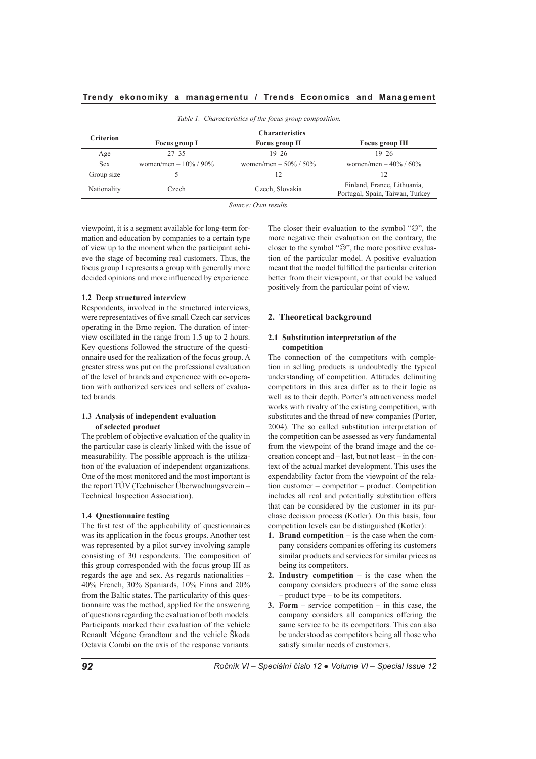*Table 1. Characteristics of the focus group composition.*

| Table 1. Characteristics of the focus group composition. |                          |                             |                                                                |  |
|----------------------------------------------------------|--------------------------|-----------------------------|----------------------------------------------------------------|--|
| <b>Criterion</b>                                         | <b>Characteristics</b>   |                             |                                                                |  |
|                                                          | Focus group I            | Focus group II              | <b>Focus group III</b>                                         |  |
| Age                                                      | $27 - 35$                | $19 - 26$                   | $19 - 26$                                                      |  |
| <b>Sex</b>                                               | women/men – $10\%$ / 90% | women/men – $50\%$ / $50\%$ | women/men – $40\%$ / 60%                                       |  |
| Group size                                               |                          |                             |                                                                |  |
| Nationality                                              | Czech                    | Czech, Slovakia             | Finland, France, Lithuania,<br>Portugal, Spain, Taiwan, Turkey |  |

*Source: Own results.*

viewpoint, it is a segment available for long-term formation and education by companies to a certain type of view up to the moment when the participant achieve the stage of becoming real customers. Thus, the focus group I represents a group with generally more decided opinions and more influenced by experience.

## **1.2 Deep structured interview**

Respondents, involved in the structured interviews, were representatives of five small Czech car services operating in the Brno region. The duration of interview oscillated in the range from 1.5 up to 2 hours. Key questions followed the structure of the questionnaire used for the realization of the focus group. A greater stress was put on the professional evaluation of the level of brands and experience with co-operation with authorized services and sellers of evaluated brands.

# **1.3 Analysis of independent evaluation of selected product**

The problem of objective evaluation of the quality in the particular case is clearly linked with the issue of measurability. The possible approach is the utilization of the evaluation of independent organizations. One of the most monitored and the most important is the report TÜV (Technischer Überwachungsverein – Technical Inspection Association).

### **1.4 Questionnaire testing**

The first test of the applicability of questionnaires was its application in the focus groups. Another test was represented by a pilot survey involving sample consisting of 30 respondents. The composition of this group corresponded with the focus group III as regards the age and sex. As regards nationalities – 40% French, 30% Spaniards, 10% Finns and 20% from the Baltic states. The particularity of this questionnaire was the method, applied for the answering of questions regarding the evaluation of both models. Participants marked their evaluation of the vehicle Renault Mégane Grandtour and the vehicle Škoda Octavia Combi on the axis of the response variants.

The closer their evaluation to the symbol " $\odot$ ", the more negative their evaluation on the contrary, the closer to the symbol "☺", the more positive evaluation of the particular model. A positive evaluation meant that the model fulfilled the particular criterion better from their viewpoint, or that could be valued positively from the particular point of view.

## **2. Theoretical background**

### **2.1 Substitution interpretation of the competition**

The connection of the competitors with completion in selling products is undoubtedly the typical understanding of competition. Attitudes delimiting competitors in this area differ as to their logic as well as to their depth. Porter's attractiveness model works with rivalry of the existing competition, with substitutes and the thread of new companies (Porter, 2004). The so called substitution interpretation of the competition can be assessed as very fundamental from the viewpoint of the brand image and the cocreation concept and – last, but not least – in the context of the actual market development. This uses the expendability factor from the viewpoint of the relation customer – competitor – product. Competition includes all real and potentially substitution offers that can be considered by the customer in its purchase decision process (Kotler). On this basis, four competition levels can be distinguished (Kotler):

- **1. Brand competition** is the case when the company considers companies offering its customers similar products and services for similar prices as being its competitors.
- **2. Industry competition** is the case when the company considers producers of the same class – product type – to be its competitors.
- **3. Form** service competition in this case, the company considers all companies offering the same service to be its competitors. This can also be understood as competitors being all those who satisfy similar needs of customers.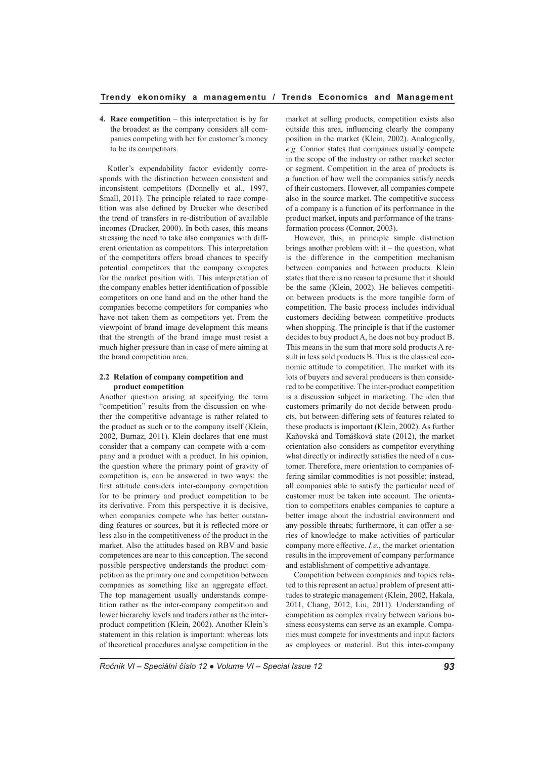**4. Race competition** – this interpretation is by far the broadest as the company considers all companies competing with her for customer's money to be its competitors.

Kotler's expendability factor evidently corresponds with the distinction between consistent and inconsistent competitors (Donnelly et al., 1997, Small, 2011). The principle related to race competition was also defined by Drucker who described the trend of transfers in re-distribution of available incomes (Drucker, 2000). In both cases, this means stressing the need to take also companies with different orientation as competitors. This interpretation of the competitors offers broad chances to specify potential competitors that the company competes for the market position with. This interpretation of the company enables better identification of possible competitors on one hand and on the other hand the companies become competitors for companies who have not taken them as competitors yet. From the viewpoint of brand image development this means that the strength of the brand image must resist a much higher pressure than in case of mere aiming at the brand competition area.

### **2.2 Relation of company competition and product competition**

Another question arising at specifying the term "competition" results from the discussion on whether the competitive advantage is rather related to the product as such or to the company itself (Klein, 2002, Burnaz, 2011). Klein declares that one must consider that a company can compete with a company and a product with a product. In his opinion, the question where the primary point of gravity of competition is, can be answered in two ways: the first attitude considers inter-company competition for to be primary and product competition to be its derivative. From this perspective it is decisive, when companies compete who has better outstanding features or sources, but it is reflected more or less also in the competitiveness of the product in the market. Also the attitudes based on RBV and basic competences are near to this conception. The second possible perspective understands the product competition as the primary one and competition between companies as something like an aggregate effect. The top management usually understands competition rather as the inter-company competition and lower hierarchy levels and traders rather as the interproduct competition (Klein, 2002). Another Klein's statement in this relation is important: whereas lots of theoretical procedures analyse competition in the

market at selling products, competition exists also outside this area, influencing clearly the company position in the market (Klein, 2002). Analogically, *e.g.* Connor states that companies usually compete in the scope of the industry or rather market sector or segment. Competition in the area of products is a function of how well the companies satisfy needs of their customers. However, all companies compete also in the source market. The competitive success of a company is a function of its performance in the product market, inputs and performance of the transformation process (Connor, 2003).

However, this, in principle simple distinction brings another problem with it – the question, what is the difference in the competition mechanism between companies and between products. Klein states that there is no reason to presume that it should be the same (Klein, 2002). He believes competition between products is the more tangible form of competition. The basic process includes individual customers deciding between competitive products when shopping. The principle is that if the customer decides to buy product A, he does not buy product B. This means in the sum that more sold products A result in less sold products B. This is the classical economic attitude to competition. The market with its lots of buyers and several producers is then considered to be competitive. The inter-product competition is a discussion subject in marketing. The idea that customers primarily do not decide between products, but between differing sets of features related to these products is important (Klein, 2002). As further Kaňovská and Tomášková state (2012), the market orientation also considers as competitor everything what directly or indirectly satisfies the need of a customer. Therefore, mere orientation to companies offering similar commodities is not possible; instead, all companies able to satisfy the particular need of customer must be taken into account. The orientation to competitors enables companies to capture a better image about the industrial environment and any possible threats; furthermore, it can offer a series of knowledge to make activities of particular company more effective. *I.e.*, the market orientation results in the improvement of company performance and establishment of competitive advantage.

Competition between companies and topics related to this represent an actual problem of present attitudes to strategic management (Klein, 2002, Hakala, 2011, Chang, 2012, Liu, 2011). Understanding of competition as complex rivalry between various business ecosystems can serve as an example. Companies must compete for investments and input factors as employees or material. But this inter-company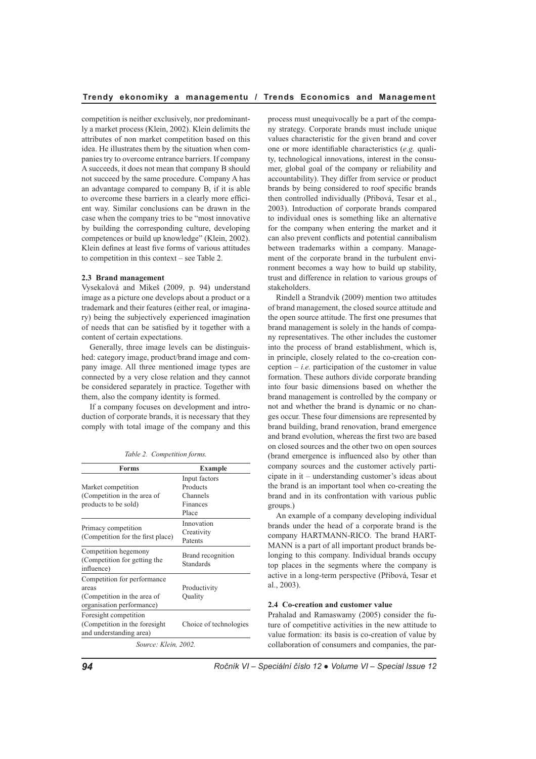competition is neither exclusively, nor predominantly a market process (Klein, 2002). Klein delimits the attributes of non market competition based on this idea. He illustrates them by the situation when companies try to overcome entrance barriers. If company A succeeds, it does not mean that company B should not succeed by the same procedure. Company A has an advantage compared to company B, if it is able to overcome these barriers in a clearly more efficient way. Similar conclusions can be drawn in the case when the company tries to be "most innovative by building the corresponding culture, developing competences or build up knowledge" (Klein, 2002). Klein defines at least five forms of various attitudes to competition in this context – see Table 2.

#### **2.3 Brand management**

Vysekalová and Mikeš (2009, p. 94) understand image as a picture one develops about a product or a trademark and their features (either real, or imaginary) being the subjectively experienced imagination of needs that can be satisfied by it together with a content of certain expectations.

Generally, three image levels can be distinguished: category image, product/brand image and company image. All three mentioned image types are connected by a very close relation and they cannot be considered separately in practice. Together with them, also the company identity is formed.

If a company focuses on development and introduction of corporate brands, it is necessary that they comply with total image of the company and this

| Table 2. Competition forms. |  |
|-----------------------------|--|
|                             |  |

| <b>Forms</b>                      | <b>Example</b>         |
|-----------------------------------|------------------------|
|                                   | Input factors          |
| Market competition                | Products               |
| (Competition in the area of       | Channels               |
| products to be sold)              | Finances               |
|                                   | Place                  |
|                                   | Innovation             |
| Primacy competition               | Creativity             |
| (Competition for the first place) | Patents                |
| Competition hegemony              | Brand recognition      |
| (Competition for getting the      | Standards              |
| influence)                        |                        |
| Competition for performance       |                        |
| areas                             | Productivity           |
| (Competition in the area of       | Quality                |
| organisation performance)         |                        |
| Foresight competition             |                        |
| (Competition in the foresight)    | Choice of technologies |
| and understanding area)           |                        |
| Source: Klein, 2002.              |                        |

process must unequivocally be a part of the company strategy. Corporate brands must include unique values characteristic for the given brand and cover one or more identifiable characteristics (*e.g.* quality, technological innovations, interest in the consumer, global goal of the company or reliability and accountability). They differ from service or product brands by being considered to roof specific brands then controlled individually (Přibová, Tesar et al., 2003). Introduction of corporate brands compared to individual ones is something like an alternative for the company when entering the market and it can also prevent conflicts and potential cannibalism between trademarks within a company. Management of the corporate brand in the turbulent environment becomes a way how to build up stability, trust and difference in relation to various groups of stakeholders.

Rindell a Strandvik (2009) mention two attitudes of brand management, the closed source attitude and the open source attitude. The first one presumes that brand management is solely in the hands of company representatives. The other includes the customer into the process of brand establishment, which is, in principle, closely related to the co-creation conception  $- i.e.$  participation of the customer in value formation. These authors divide corporate branding into four basic dimensions based on whether the brand management is controlled by the company or not and whether the brand is dynamic or no changes occur. These four dimensions are represented by brand building, brand renovation, brand emergence and brand evolution, whereas the first two are based on closed sources and the other two on open sources (brand emergence is influenced also by other than company sources and the customer actively participate in it – understanding customer's ideas about the brand is an important tool when co-creating the brand and in its confrontation with various public groups.)

An example of a company developing individual brands under the head of a corporate brand is the company HARTMANN-RICO. The brand HART-MANN is a part of all important product brands belonging to this company. Individual brands occupy top places in the segments where the company is active in a long-term perspective (Přibová, Tesar et al., 2003).

### **2.4 Co-creation and customer value**

Prahalad and Ramaswamy (2005) consider the future of competitive activities in the new attitude to value formation: its basis is co-creation of value by collaboration of consumers and companies, the par-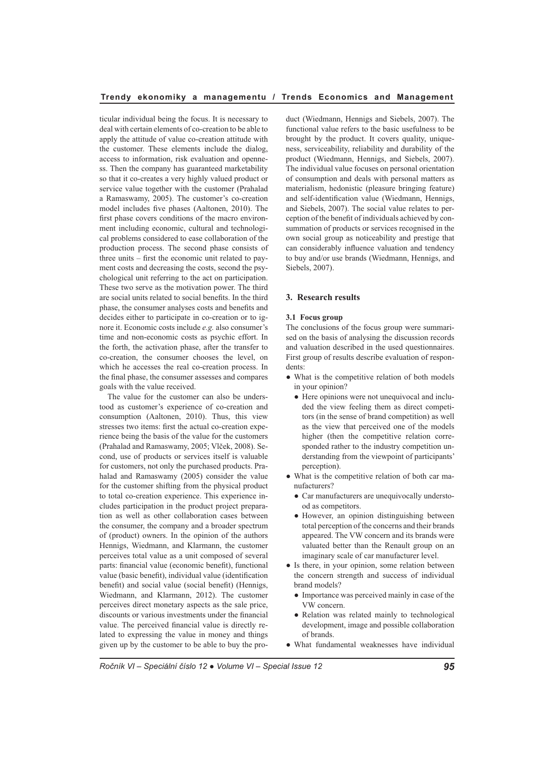ticular individual being the focus. It is necessary to deal with certain elements of co-creation to be able to apply the attitude of value co-creation attitude with the customer. These elements include the dialog, access to information, risk evaluation and openness. Then the company has guaranteed marketability so that it co-creates a very highly valued product or service value together with the customer (Prahalad a Ramaswamy, 2005). The customer's co-creation model includes five phases (Aaltonen, 2010). The first phase covers conditions of the macro environment including economic, cultural and technological problems considered to ease collaboration of the production process. The second phase consists of three units – first the economic unit related to payment costs and decreasing the costs, second the psychological unit referring to the act on participation. These two serve as the motivation power. The third are social units related to social benefits. In the third phase, the consumer analyses costs and benefits and decides either to participate in co-creation or to ignore it. Economic costs include *e.g.* also consumer's time and non-economic costs as psychic effort. In the forth, the activation phase, after the transfer to co-creation, the consumer chooses the level, on which he accesses the real co-creation process. In the final phase, the consumer assesses and compares goals with the value received.

The value for the customer can also be understood as customer's experience of co-creation and consumption (Aaltonen, 2010). Thus, this view stresses two items: first the actual co-creation experience being the basis of the value for the customers (Prahalad and Ramaswamy, 2005; Vlček, 2008). Second, use of products or services itself is valuable for customers, not only the purchased products. Prahalad and Ramaswamy (2005) consider the value for the customer shifting from the physical product to total co-creation experience. This experience includes participation in the product project preparation as well as other collaboration cases between the consumer, the company and a broader spectrum of (product) owners. In the opinion of the authors Hennigs, Wiedmann, and Klarmann, the customer perceives total value as a unit composed of several parts: financial value (economic benefit), functional value (basic benefit), individual value (identification benefit) and social value (social benefit) (Hennigs, Wiedmann, and Klarmann, 2012). The customer perceives direct monetary aspects as the sale price, discounts or various investments under the financial value. The perceived financial value is directly related to expressing the value in money and things given up by the customer to be able to buy the product (Wiedmann, Hennigs and Siebels, 2007). The functional value refers to the basic usefulness to be brought by the product. It covers quality, uniqueness, serviceability, reliability and durability of the product (Wiedmann, Hennigs, and Siebels, 2007). The individual value focuses on personal orientation of consumption and deals with personal matters as materialism, hedonistic (pleasure bringing feature) and self-identification value (Wiedmann, Hennigs, and Siebels, 2007). The social value relates to perception of the benefit of individuals achieved by consummation of products or services recognised in the own social group as noticeability and prestige that can considerably influence valuation and tendency to buy and/or use brands (Wiedmann, Hennigs, and Siebels, 2007).

## **3. Research results**

#### **3.1 Focus group**

The conclusions of the focus group were summarised on the basis of analysing the discussion records and valuation described in the used questionnaires. First group of results describe evaluation of respondents:

- What is the competitive relation of both models in your opinion?
	- Here opinions were not unequivocal and included the view feeling them as direct competitors (in the sense of brand competition) as well as the view that perceived one of the models higher (then the competitive relation corresponded rather to the industry competition understanding from the viewpoint of participants' perception).
- What is the competitive relation of both car manufacturers?
	- Car manufacturers are unequivocally understood as competitors.
	- However, an opinion distinguishing between total perception of the concerns and their brands appeared. The VW concern and its brands were valuated better than the Renault group on an imaginary scale of car manufacturer level.
- Is there, in your opinion, some relation between the concern strength and success of individual brand models?
	- Importance was perceived mainly in case of the VW concern.
	- Relation was related mainly to technological development, image and possible collaboration of brands.
- What fundamental weaknesses have individual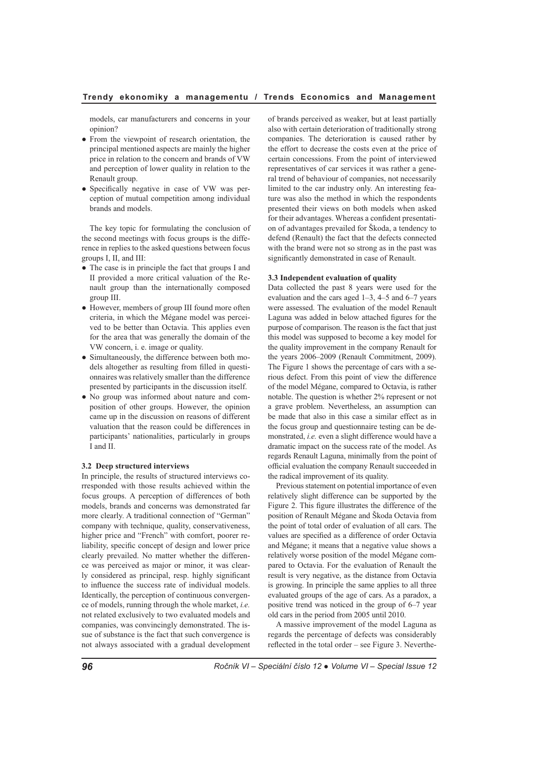models, car manufacturers and concerns in your opinion?

- From the viewpoint of research orientation, the principal mentioned aspects are mainly the higher price in relation to the concern and brands of VW and perception of lower quality in relation to the Renault group.
- Specifically negative in case of VW was perception of mutual competition among individual brands and models.

The key topic for formulating the conclusion of the second meetings with focus groups is the difference in replies to the asked questions between focus groups I, II, and III:

- The case is in principle the fact that groups I and II provided a more critical valuation of the Renault group than the internationally composed group III.
- However, members of group III found more often criteria, in which the Mégane model was perceived to be better than Octavia. This applies even for the area that was generally the domain of the VW concern, i. e. image or quality.
- Simultaneously, the difference between both models altogether as resulting from filled in questionnaires was relatively smaller than the difference presented by participants in the discussion itself.
- No group was informed about nature and composition of other groups. However, the opinion came up in the discussion on reasons of different valuation that the reason could be differences in participants' nationalities, particularly in groups I and II.

### **3.2 Deep structured interviews**

In principle, the results of structured interviews corresponded with those results achieved within the focus groups. A perception of differences of both models, brands and concerns was demonstrated far more clearly. A traditional connection of "German" company with technique, quality, conservativeness, higher price and "French" with comfort, poorer reliability, specific concept of design and lower price clearly prevailed. No matter whether the difference was perceived as major or minor, it was clearly considered as principal, resp. highly significant to influence the success rate of individual models. Identically, the perception of continuous convergence of models, running through the whole market, *i.e.* not related exclusively to two evaluated models and companies, was convincingly demonstrated. The issue of substance is the fact that such convergence is not always associated with a gradual development of brands perceived as weaker, but at least partially also with certain deterioration of traditionally strong companies. The deterioration is caused rather by the effort to decrease the costs even at the price of certain concessions. From the point of interviewed representatives of car services it was rather a general trend of behaviour of companies, not necessarily limited to the car industry only. An interesting feature was also the method in which the respondents presented their views on both models when asked for their advantages. Whereas a confident presentation of advantages prevailed for Škoda, a tendency to defend (Renault) the fact that the defects connected with the brand were not so strong as in the past was significantly demonstrated in case of Renault.

### **3.3 Independent evaluation of quality**

Data collected the past 8 years were used for the evaluation and the cars aged 1–3, 4–5 and 6–7 years were assessed. The evaluation of the model Renault Laguna was added in below attached figures for the purpose of comparison. The reason is the fact that just this model was supposed to become a key model for the quality improvement in the company Renault for the years 2006–2009 (Renault Commitment, 2009). The Figure 1 shows the percentage of cars with a serious defect. From this point of view the difference of the model Mégane, compared to Octavia, is rather notable. The question is whether 2% represent or not a grave problem. Nevertheless, an assumption can be made that also in this case a similar effect as in the focus group and questionnaire testing can be demonstrated, *i.e.* even a slight difference would have a dramatic impact on the success rate of the model. As regards Renault Laguna, minimally from the point of official evaluation the company Renault succeeded in the radical improvement of its quality.

Previous statement on potential importance of even relatively slight difference can be supported by the Figure 2. This figure illustrates the difference of the position of Renault Mégane and Škoda Octavia from the point of total order of evaluation of all cars. The values are specified as a difference of order Octavia and Mégane; it means that a negative value shows a relatively worse position of the model Mégane compared to Octavia. For the evaluation of Renault the result is very negative, as the distance from Octavia is growing. In principle the same applies to all three evaluated groups of the age of cars. As a paradox, a positive trend was noticed in the group of 6–7 year old cars in the period from 2005 until 2010.

A massive improvement of the model Laguna as regards the percentage of defects was considerably reflected in the total order – see Figure 3. Neverthe-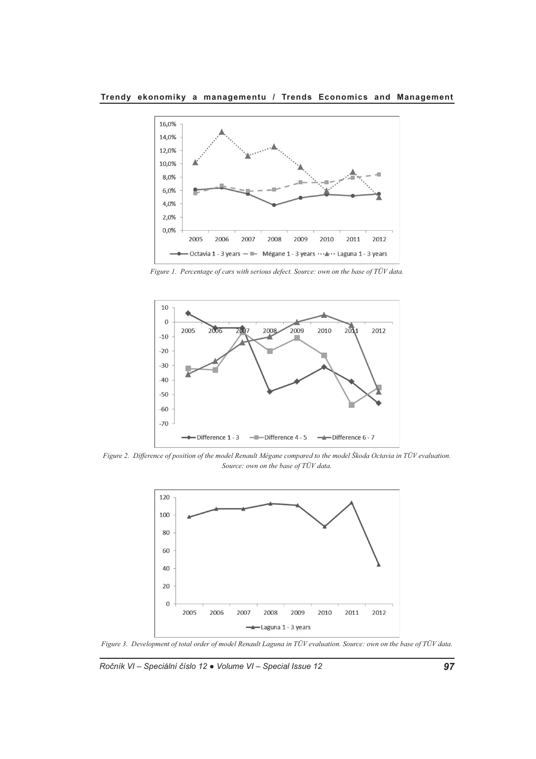**Trendy ekonomiky a managementu / Trends Economics and Management**



*Figure 1. Percentage of cars with serious defect. Source: own on the base of TÜV data.*



*Figure 2. Difference of position of the model Renault Mégane compared to the model Škoda Octavia in TÜV evaluation. Source: own on the base of TÜV data.*



*Figure 3. Development of total order of model Renault Laguna in TÜV evaluation. Source: own on the base of TÜV data.*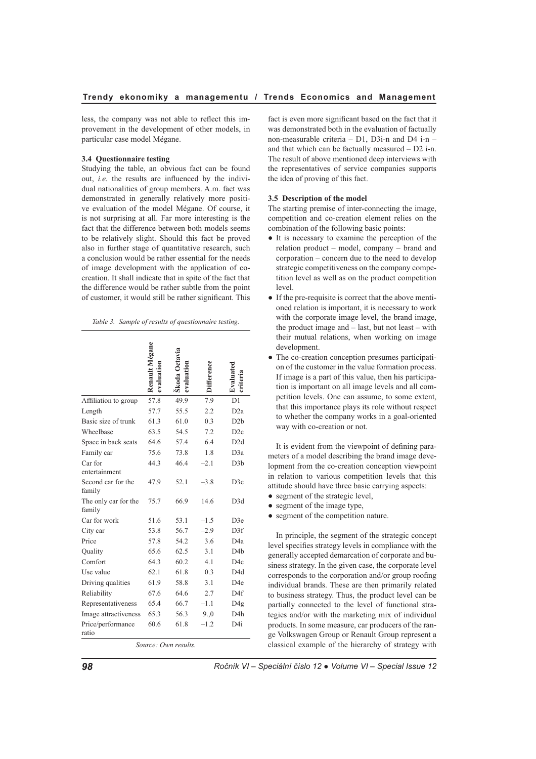less, the company was not able to reflect this improvement in the development of other models, in particular case model Mégane.

# **3.4 Questionnaire testing**

Studying the table, an obvious fact can be found out, *i.e.* the results are influenced by the individual nationalities of group members. A.m. fact was demonstrated in generally relatively more positive evaluation of the model Mégane. Of course, it is not surprising at all. Far more interesting is the fact that the difference between both models seems to be relatively slight. Should this fact be proved also in further stage of quantitative research, such a conclusion would be rather essential for the needs of image development with the application of cocreation. It shall indicate that in spite of the fact that the difference would be rather subtle from the point of customer, it would still be rather significant. This

| Table 3. Sample of results of questionnaire testing. |  |
|------------------------------------------------------|--|
|------------------------------------------------------|--|

|                                | Renault Mégane | Škoda Octavia<br>evaluation |        |                  |
|--------------------------------|----------------|-----------------------------|--------|------------------|
| Affiliation to group           | 57.8           | 49.9                        | 7.9    | D <sub>1</sub>   |
| Length                         | 57.7           | 55.5                        | 2.2    | D <sub>2</sub> a |
| Basic size of trunk            | 61.3           | 61.0                        | 0.3    | D2b              |
| Wheelbase                      | 63.5           | 54.5                        | 7.2    | D2c              |
| Space in back seats            | 64.6           | 57.4                        | 6.4    | D <sub>2d</sub>  |
| Family car                     | 75.6           | 73.8                        | 1.8    | D3a              |
| Car for<br>entertainment       | 44.3           | 46.4                        | $-2.1$ | D3b              |
| Second car for the<br>family   | 47.9           | 52.1                        | $-3.8$ | D3c              |
| The only car for the<br>family | 75.7           | 66.9                        | 14.6   | D3d              |
| Car for work                   | 51.6           | 53.1                        | $-1.5$ | D <sub>3</sub> e |
| City car                       | 53.8           | 56.7                        | $-2.9$ | D3f              |
| Price                          | 57.8           | 54.2                        | 3.6    | D4a              |
| Quality                        | 65.6           | 62.5                        | 3.1    | D4h              |
| Comfort                        | 64.3           | 60.2                        | 4.1    | D <sub>4c</sub>  |
| Use value                      | 62.1           | 61.8                        | 0.3    | D4d              |
| Driving qualities              | 61.9           | 58.8                        | 3.1    | D <sub>4e</sub>  |
| Reliability                    | 67.6           | 64.6                        | 2.7    | D <sub>4f</sub>  |
| Representativeness             | 65.4           | 66.7                        | $-1.1$ | D <sub>4g</sub>  |
| Image attractiveness           | 65.3           | 56.3                        | 9.0    | D <sub>4</sub> h |
| Price/performance<br>ratio     | 60.6           | 61.8                        | $-1.2$ | D4i              |
|                                |                | $S_{OMPO}$ Own rocults      |        |                  |

*Source: Own results.*

fact is even more significant based on the fact that it was demonstrated both in the evaluation of factually non-measurable criteria – D1, D3i-n and D4 i-n – and that which can be factually measured  $- D2$  i-n. The result of above mentioned deep interviews with the representatives of service companies supports the idea of proving of this fact.

#### **3.5 Description of the model**

The starting premise of inter-connecting the image, competition and co-creation element relies on the combination of the following basic points:

- It is necessary to examine the perception of the relation product – model, company – brand and corporation – concern due to the need to develop strategic competitiveness on the company competition level as well as on the product competition level.
- If the pre-requisite is correct that the above mentioned relation is important, it is necessary to work with the corporate image level, the brand image, the product image and – last, but not least – with their mutual relations, when working on image development.
- The co-creation conception presumes participation of the customer in the value formation process. If image is a part of this value, then his participation is important on all image levels and all competition levels. One can assume, to some extent, that this importance plays its role without respect to whether the company works in a goal-oriented way with co-creation or not.

It is evident from the viewpoint of defining parameters of a model describing the brand image development from the co-creation conception viewpoint in relation to various competition levels that this attitude should have three basic carrying aspects:

- segment of the strategic level,
- segment of the image type,
- segment of the competition nature.

In principle, the segment of the strategic concept level specifies strategy levels in compliance with the generally accepted demarcation of corporate and business strategy. In the given case, the corporate level corresponds to the corporation and/or group roofing individual brands. These are then primarily related to business strategy. Thus, the product level can be partially connected to the level of functional strategies and/or with the marketing mix of individual products. In some measure, car producers of the range Volkswagen Group or Renault Group represent a classical example of the hierarchy of strategy with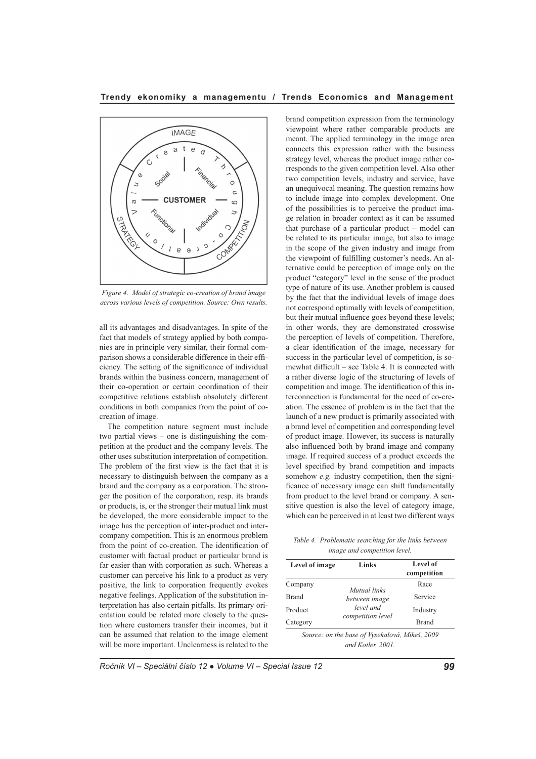**Trendy ekonomiky a managementu / Trends Economics and Management**



*Figure 4. Model of strategic co-creation of brand image across various levels of competition. Source: Own results.*

all its advantages and disadvantages. In spite of the fact that models of strategy applied by both companies are in principle very similar, their formal comparison shows a considerable difference in their efficiency. The setting of the significance of individual brands within the business concern, management of their co-operation or certain coordination of their competitive relations establish absolutely different conditions in both companies from the point of cocreation of image.

The competition nature segment must include two partial views – one is distinguishing the competition at the product and the company levels. The other uses substitution interpretation of competition. The problem of the first view is the fact that it is necessary to distinguish between the company as a brand and the company as a corporation. The stronger the position of the corporation, resp. its brands or products, is, or the stronger their mutual link must be developed, the more considerable impact to the image has the perception of inter-product and intercompany competition. This is an enormous problem from the point of co-creation. The identification of customer with factual product or particular brand is far easier than with corporation as such. Whereas a customer can perceive his link to a product as very positive, the link to corporation frequently evokes negative feelings. Application of the substitution interpretation has also certain pitfalls. Its primary orientation could be related more closely to the question where customers transfer their incomes, but it can be assumed that relation to the image element will be more important. Unclearness is related to the

brand competition expression from the terminology viewpoint where rather comparable products are meant. The applied terminology in the image area connects this expression rather with the business strategy level, whereas the product image rather corresponds to the given competition level. Also other two competition levels, industry and service, have an unequivocal meaning. The question remains how to include image into complex development. One of the possibilities is to perceive the product image relation in broader context as it can be assumed that purchase of a particular product – model can be related to its particular image, but also to image in the scope of the given industry and image from the viewpoint of fulfilling customer's needs. An alternative could be perception of image only on the product "category" level in the sense of the product type of nature of its use. Another problem is caused by the fact that the individual levels of image does not correspond optimally with levels of competition, but their mutual influence goes beyond these levels; in other words, they are demonstrated crosswise the perception of levels of competition. Therefore, a clear identification of the image, necessary for success in the particular level of competition, is somewhat difficult – see Table 4. It is connected with a rather diverse logic of the structuring of levels of competition and image. The identification of this interconnection is fundamental for the need of co-creation. The essence of problem is in the fact that the launch of a new product is primarily associated with a brand level of competition and corresponding level of product image. However, its success is naturally also influenced both by brand image and company image. If required success of a product exceeds the level specified by brand competition and impacts somehow *e.g.* industry competition, then the significance of necessary image can shift fundamentally from product to the level brand or company. A sensitive question is also the level of category image, which can be perceived in at least two different ways

*Table 4. Problematic searching for the links between image and competition level.*

| Level of image | Links                         | Level of<br>competition |
|----------------|-------------------------------|-------------------------|
| Company        |                               | Race                    |
| <b>Brand</b>   | Mutual links<br>between image | Service                 |
| Product        | level and                     | Industry                |
| Category       | competition level             | Brand                   |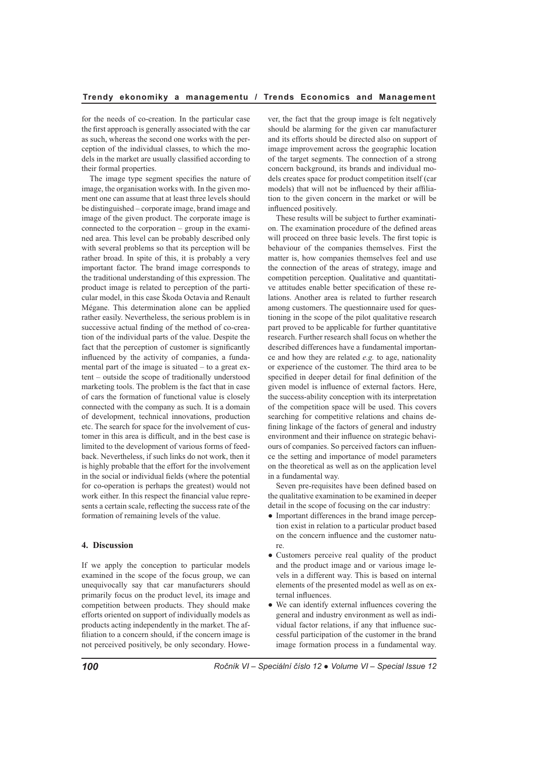for the needs of co-creation. In the particular case the first approach is generally associated with the car as such, whereas the second one works with the perception of the individual classes, to which the models in the market are usually classified according to their formal properties.

The image type segment specifies the nature of image, the organisation works with. In the given moment one can assume that at least three levels should be distinguished – corporate image, brand image and image of the given product. The corporate image is connected to the corporation – group in the examined area. This level can be probably described only with several problems so that its perception will be rather broad. In spite of this, it is probably a very important factor. The brand image corresponds to the traditional understanding of this expression. The product image is related to perception of the particular model, in this case Škoda Octavia and Renault Mégane. This determination alone can be applied rather easily. Nevertheless, the serious problem is in successive actual finding of the method of co-creation of the individual parts of the value. Despite the fact that the perception of customer is significantly influenced by the activity of companies, a fundamental part of the image is situated – to a great extent – outside the scope of traditionally understood marketing tools. The problem is the fact that in case of cars the formation of functional value is closely connected with the company as such. It is a domain of development, technical innovations, production etc. The search for space for the involvement of customer in this area is difficult, and in the best case is limited to the development of various forms of feedback. Nevertheless, if such links do not work, then it is highly probable that the effort for the involvement in the social or individual fields (where the potential for co-operation is perhaps the greatest) would not work either. In this respect the financial value represents a certain scale, reflecting the success rate of the formation of remaining levels of the value.

## **4. Discussion**

If we apply the conception to particular models examined in the scope of the focus group, we can unequivocally say that car manufacturers should primarily focus on the product level, its image and competition between products. They should make efforts oriented on support of individually models as products acting independently in the market. The affiliation to a concern should, if the concern image is not perceived positively, be only secondary. However, the fact that the group image is felt negatively should be alarming for the given car manufacturer and its efforts should be directed also on support of image improvement across the geographic location of the target segments. The connection of a strong concern background, its brands and individual models creates space for product competition itself (car models) that will not be influenced by their affiliation to the given concern in the market or will be influenced positively.

These results will be subject to further examination. The examination procedure of the defined areas will proceed on three basic levels. The first topic is behaviour of the companies themselves. First the matter is, how companies themselves feel and use the connection of the areas of strategy, image and competition perception. Qualitative and quantitative attitudes enable better specification of these relations. Another area is related to further research among customers. The questionnaire used for questioning in the scope of the pilot qualitative research part proved to be applicable for further quantitative research. Further research shall focus on whether the described differences have a fundamental importance and how they are related *e.g.* to age, nationality or experience of the customer. The third area to be specified in deeper detail for final definition of the given model is influence of external factors. Here, the success-ability conception with its interpretation of the competition space will be used. This covers searching for competitive relations and chains defining linkage of the factors of general and industry environment and their influence on strategic behaviours of companies. So perceived factors can influence the setting and importance of model parameters on the theoretical as well as on the application level in a fundamental way.

Seven pre-requisites have been defined based on the qualitative examination to be examined in deeper detail in the scope of focusing on the car industry:

- Important differences in the brand image perception exist in relation to a particular product based on the concern influence and the customer nature.
- Customers perceive real quality of the product and the product image and or various image levels in a different way. This is based on internal elements of the presented model as well as on external influences.
- We can identify external influences covering the general and industry environment as well as individual factor relations, if any that influence successful participation of the customer in the brand image formation process in a fundamental way.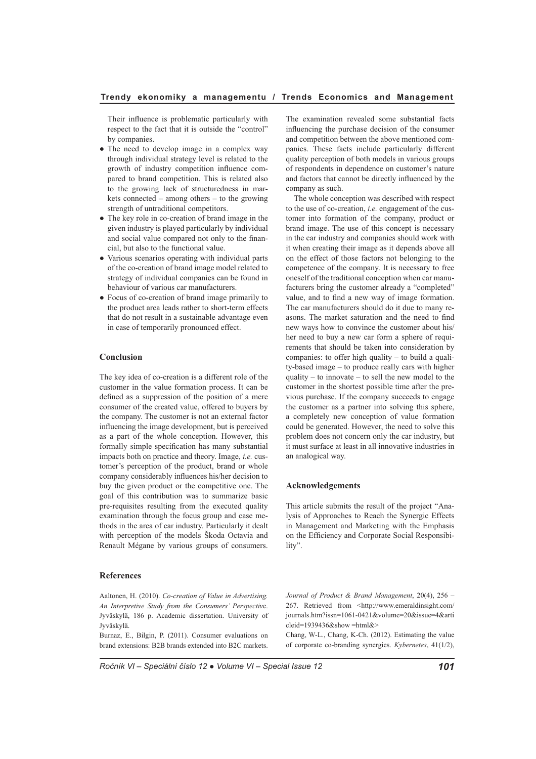Their influence is problematic particularly with respect to the fact that it is outside the "control" by companies.

- The need to develop image in a complex way through individual strategy level is related to the growth of industry competition influence compared to brand competition. This is related also to the growing lack of structuredness in markets connected – among others – to the growing strength of untraditional competitors.
- The key role in co-creation of brand image in the given industry is played particularly by individual and social value compared not only to the financial, but also to the functional value.
- Various scenarios operating with individual parts of the co-creation of brand image model related to strategy of individual companies can be found in behaviour of various car manufacturers.
- Focus of co-creation of brand image primarily to the product area leads rather to short-term effects that do not result in a sustainable advantage even in case of temporarily pronounced effect.

# **Conclusion**

The key idea of co-creation is a different role of the customer in the value formation process. It can be defined as a suppression of the position of a mere consumer of the created value, offered to buyers by the company. The customer is not an external factor influencing the image development, but is perceived as a part of the whole conception. However, this formally simple specification has many substantial impacts both on practice and theory. Image, *i.e.* customer's perception of the product, brand or whole company considerably influences his/her decision to buy the given product or the competitive one. The goal of this contribution was to summarize basic pre-requisites resulting from the executed quality examination through the focus group and case methods in the area of car industry. Particularly it dealt with perception of the models Škoda Octavia and Renault Mégane by various groups of consumers.

# **References**

Aaltonen, H. (2010). *Co-creation of Value in Advertising. An Interpretive Study from the Consumers' Perspectiv*e. Jyväskylä, 186 p. Academic dissertation. University of Jyväskylä.

Burnaz, E., Bilgin, P. (2011). Consumer evaluations on brand extensions: B2B brands extended into B2C markets.

The examination revealed some substantial facts influencing the purchase decision of the consumer and competition between the above mentioned companies. These facts include particularly different quality perception of both models in various groups of respondents in dependence on customer's nature and factors that cannot be directly influenced by the company as such.

The whole conception was described with respect to the use of co-creation, *i.e.* engagement of the customer into formation of the company, product or brand image. The use of this concept is necessary in the car industry and companies should work with it when creating their image as it depends above all on the effect of those factors not belonging to the competence of the company. It is necessary to free oneself of the traditional conception when car manufacturers bring the customer already a "completed" value, and to find a new way of image formation. The car manufacturers should do it due to many reasons. The market saturation and the need to find new ways how to convince the customer about his/ her need to buy a new car form a sphere of requirements that should be taken into consideration by companies: to offer high quality – to build a quality-based image – to produce really cars with higher quality – to innovate – to sell the new model to the customer in the shortest possible time after the previous purchase. If the company succeeds to engage the customer as a partner into solving this sphere, a completely new conception of value formation could be generated. However, the need to solve this problem does not concern only the car industry, but it must surface at least in all innovative industries in an analogical way.

#### **Acknowledgements**

This article submits the result of the project "Analysis of Approaches to Reach the Synergic Effects in Management and Marketing with the Emphasis on the Efficiency and Corporate Social Responsibility".

*Journal of Product & Brand Management*, 20(4), 256 – 267. Retrieved from <http://www.emeraldinsight.com/ journals.htm?issn=1061-0421&volume=20&issue=4&arti cleid=1939436&show =html&>

Chang, W-L., Chang, K-Ch. (2012). Estimating the value of corporate co-branding synergies. *Kybernetes*, 41(1/2),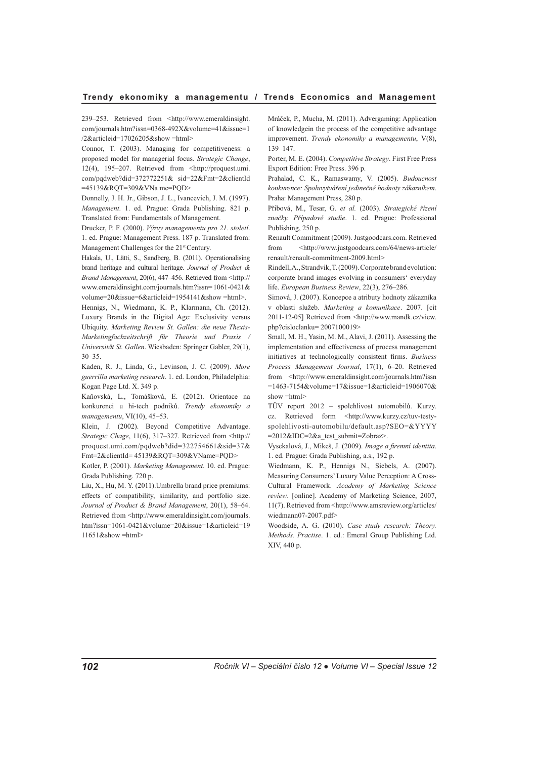239–253. Retrieved from <http://www.emeraldinsight. com/journals.htm?issn=0368-492X&volume=41&issue=1 /2&articleid=17026205&show =html>

Connor, T. (2003). Managing for competitiveness: a proposed model for managerial focus. *Strategic Change*, 12(4), 195–207. Retrieved from <http://proquest.umi. com/pqdweb?did=372772251& sid=22&Fmt=2&clientId =45139&RQT=309&VNa me=PQD>

Donnelly, J. H. Jr., Gibson, J. L., Ivancevich, J. M. (1997). *Management*. 1. ed. Prague: Grada Publishing. 821 p. Translated from: Fundamentals of Management.

Drucker, P. F. (2000). *Výzvy managementu pro 21. století*. 1. ed. Prague: Management Press. 187 p. Translated from: Management Challenges for the 21<sup>st</sup> Century.

Hakala, U., Lätti, S., Sandberg, B. (2011). Operationalising brand heritage and cultural heritage. *Journal of Product & Brand Management*, 20(6), 447–456. Retrieved from <http:// www.emeraldinsight.com/journals.htm?issn= 1061-0421& volume=20&issue=6&articleid=1954141&show =html>.

Hennigs, N., Wiedmann, K. P., Klarmann, Ch. (2012). Luxury Brands in the Digital Age: Exclusivity versus Ubiquity. *Marketing Review St. Gallen: die neue Thexis-Marketingfachzeitschrift für Theorie und Praxis / Universität St. Gallen*. Wiesbaden: Springer Gabler, 29(1), 30–35.

Kaden, R. J., Linda, G., Levinson, J. C. (2009). *More guerrilla marketing research*. 1. ed. London, Philadelphia: Kogan Page Ltd. X. 349 p.

Kaňovská, L., Tomášková, E. (2012). Orientace na konkurenci u hi-tech podniků. *Trendy ekonomiky a managementu*, VI(10), 45–53.

Klein, J. (2002). Beyond Competitive Advantage. *Strategic Chage*, 11(6), 317–327. Retrieved from <http:// proquest.umi.com/pqdweb?did=322754661&sid=37& Fmt=2&clientId= 45139&RQT=309&VName=PQD>

Kotler, P. (2001). *Marketing Management*. 10. ed. Prague: Grada Publishing. 720 p.

Liu, X., Hu, M. Y. (2011).Umbrella brand price premiums: effects of compatibility, similarity, and portfolio size. *Journal of Product & Brand Management*, 20(1), 58–64. Retrieved from <http://www.emeraldinsight.com/journals. htm?issn=1061-0421&volume=20&issue=1&articleid=19 11651&show =html>

Mráček, P., Mucha, M. (2011). Advergaming: Application of knowledgein the process of the competitive advantage improvement. *Trendy ekonomiky a managementu*, V(8), 139–147.

Porter, M. E. (2004). *Competitive Strategy*. First Free Press Export Edition: Free Press. 396 p.

Prahalad, C. K., Ramaswamy, V. (2005). *Budoucnost konkurence: Spoluvytváření jedinečné hodnoty zákazníkem*. Praha: Management Press, 280 p.

Přibová, M., Tesar, G. *et al.* (2003). *Strategické řízení značky. Případové studie*. 1. ed. Prague: Professional Publishing, 250 p.

Renault Commitment (2009). Justgoodcars.com. Retrieved from <http://www.justgoodcars.com/64/news-article/ renault/renault-commitment-2009.html>

Rindell, A., Strandvik, T. (2009).Corporate brand evolution: corporate brand images evolving in consumers' everyday life. *European Business Review*, 22(3), 276–286.

Simová, J. (2007). Koncepce a atributy hodnoty zákazníka v oblasti služeb. *Marketing a komunikace*. 2007. [cit 2011-12-05] Retrieved from <http://www.mandk.cz/view. php?cisloclanku= 2007100019>

Small, M. H., Yasin, M. M., Alavi, J. (2011). Assessing the implementation and effectiveness of process management initiatives at technologically consistent firms. *Business Process Management Journal*, 17(1), 6–20. Retrieved from <http://www.emeraldinsight.com/journals.htm?issn =1463-7154&volume=17&issue=1&articleid=1906070& show =html>

TÜV report 2012 – spolehlivost automobilů. Kurzy. cz. Retrieved form <http://www.kurzy.cz/tuv-testyspolehlivosti-automobilu/default.asp?SEO=&YYYY =2012&IDC=2&a\_test\_submit=Zobraz>.

Vysekalová, J., Mikeš, J. (2009). *Image a firemní identita*. 1. ed. Prague: Grada Publishing, a.s., 192 p.

Wiedmann, K. P., Hennigs N., Siebels, A. (2007). Measuring Consumers' Luxury Value Perception: A Cross-Cultural Framework. *Academy of Marketing Science review*. [online]. Academy of Marketing Science, 2007, 11(7). Retrieved from <http://www.amsreview.org/articles/ wiedmann07-2007.pdf>

Woodside, A. G. (2010). *Case study research: Theory. Methods. Practise*. 1. ed.: Emeral Group Publishing Ltd. XIV, 440 p.